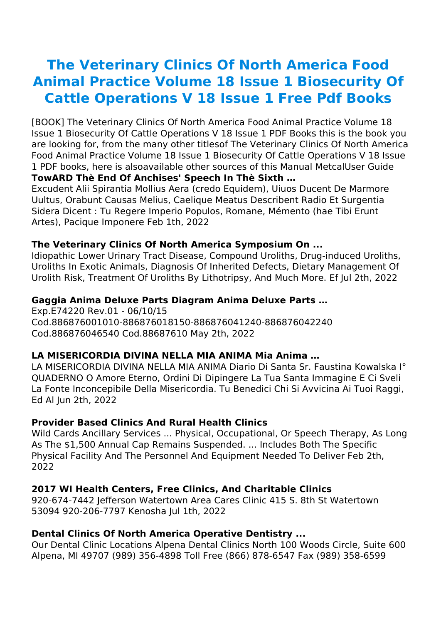# **The Veterinary Clinics Of North America Food Animal Practice Volume 18 Issue 1 Biosecurity Of Cattle Operations V 18 Issue 1 Free Pdf Books**

[BOOK] The Veterinary Clinics Of North America Food Animal Practice Volume 18 Issue 1 Biosecurity Of Cattle Operations V 18 Issue 1 PDF Books this is the book you are looking for, from the many other titlesof The Veterinary Clinics Of North America Food Animal Practice Volume 18 Issue 1 Biosecurity Of Cattle Operations V 18 Issue 1 PDF books, here is alsoavailable other sources of this Manual MetcalUser Guide **TowARD Thè End Of Anchises' Speech In Thè Sixth …**

Excudent Alii Spirantia Mollius Aera (credo Equidem), Uiuos Ducent De Marmore Uultus, Orabunt Causas Melius, Caelique Meatus Describent Radio Et Surgentia Sidera Dicent : Tu Regere Imperio Populos, Romane, Mémento (hae Tibi Erunt Artes), Pacique Imponere Feb 1th, 2022

#### **The Veterinary Clinics Of North America Symposium On ...**

Idiopathic Lower Urinary Tract Disease, Compound Uroliths, Drug-induced Uroliths, Uroliths In Exotic Animals, Diagnosis Of Inherited Defects, Dietary Management Of Urolith Risk, Treatment Of Uroliths By Lithotripsy, And Much More. Ef Jul 2th, 2022

#### **Gaggia Anima Deluxe Parts Diagram Anima Deluxe Parts …**

Exp.E74220 Rev.01 - 06/10/15 Cod.886876001010-886876018150-886876041240-886876042240 Cod.886876046540 Cod.88687610 May 2th, 2022

#### **LA MISERICORDIA DIVINA NELLA MIA ANIMA Mia Anima …**

LA MISERICORDIA DIVINA NELLA MIA ANIMA Diario Di Santa Sr. Faustina Kowalska I° QUADERNO O Amore Eterno, Ordini Di Dipingere La Tua Santa Immagine E Ci Sveli La Fonte Inconcepibile Della Misericordia. Tu Benedici Chi Si Avvicina Ai Tuoi Raggi, Ed Al Jun 2th, 2022

#### **Provider Based Clinics And Rural Health Clinics**

Wild Cards Ancillary Services ... Physical, Occupational, Or Speech Therapy, As Long As The \$1,500 Annual Cap Remains Suspended. ... Includes Both The Specific Physical Facility And The Personnel And Equipment Needed To Deliver Feb 2th, 2022

#### **2017 WI Health Centers, Free Clinics, And Charitable Clinics**

920-674-7442 Jefferson Watertown Area Cares Clinic 415 S. 8th St Watertown 53094 920-206-7797 Kenosha Jul 1th, 2022

#### **Dental Clinics Of North America Operative Dentistry ...**

Our Dental Clinic Locations Alpena Dental Clinics North 100 Woods Circle, Suite 600 Alpena, MI 49707 (989) 356-4898 Toll Free (866) 878-6547 Fax (989) 358-6599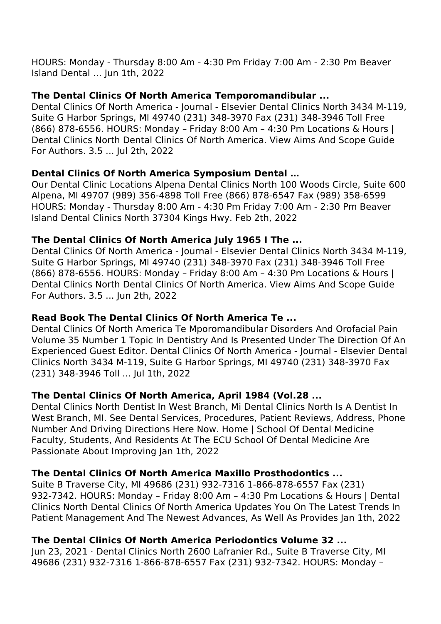## **The Dental Clinics Of North America Temporomandibular ...**

Dental Clinics Of North America - Journal - Elsevier Dental Clinics North 3434 M-119, Suite G Harbor Springs, MI 49740 (231) 348-3970 Fax (231) 348-3946 Toll Free (866) 878-6556. HOURS: Monday – Friday 8:00 Am – 4:30 Pm Locations & Hours | Dental Clinics North Dental Clinics Of North America. View Aims And Scope Guide For Authors. 3.5 ... Jul 2th, 2022

#### **Dental Clinics Of North America Symposium Dental …**

Our Dental Clinic Locations Alpena Dental Clinics North 100 Woods Circle, Suite 600 Alpena, MI 49707 (989) 356-4898 Toll Free (866) 878-6547 Fax (989) 358-6599 HOURS: Monday - Thursday 8:00 Am - 4:30 Pm Friday 7:00 Am - 2:30 Pm Beaver Island Dental Clinics North 37304 Kings Hwy. Feb 2th, 2022

## **The Dental Clinics Of North America July 1965 I The ...**

Dental Clinics Of North America - Journal - Elsevier Dental Clinics North 3434 M-119, Suite G Harbor Springs, MI 49740 (231) 348-3970 Fax (231) 348-3946 Toll Free (866) 878-6556. HOURS: Monday – Friday 8:00 Am – 4:30 Pm Locations & Hours | Dental Clinics North Dental Clinics Of North America. View Aims And Scope Guide For Authors. 3.5 ... Jun 2th, 2022

## **Read Book The Dental Clinics Of North America Te ...**

Dental Clinics Of North America Te Mporomandibular Disorders And Orofacial Pain Volume 35 Number 1 Topic In Dentistry And Is Presented Under The Direction Of An Experienced Guest Editor. Dental Clinics Of North America - Journal - Elsevier Dental Clinics North 3434 M-119, Suite G Harbor Springs, MI 49740 (231) 348-3970 Fax (231) 348-3946 Toll ... Jul 1th, 2022

#### **The Dental Clinics Of North America, April 1984 (Vol.28 ...**

Dental Clinics North Dentist In West Branch, Mi Dental Clinics North Is A Dentist In West Branch, MI. See Dental Services, Procedures, Patient Reviews, Address, Phone Number And Driving Directions Here Now. Home | School Of Dental Medicine Faculty, Students, And Residents At The ECU School Of Dental Medicine Are Passionate About Improving Jan 1th, 2022

## **The Dental Clinics Of North America Maxillo Prosthodontics ...**

Suite B Traverse City, MI 49686 (231) 932-7316 1-866-878-6557 Fax (231) 932-7342. HOURS: Monday – Friday 8:00 Am – 4:30 Pm Locations & Hours | Dental Clinics North Dental Clinics Of North America Updates You On The Latest Trends In Patient Management And The Newest Advances, As Well As Provides Jan 1th, 2022

## **The Dental Clinics Of North America Periodontics Volume 32 ...**

Jun 23, 2021 · Dental Clinics North 2600 Lafranier Rd., Suite B Traverse City, MI 49686 (231) 932-7316 1-866-878-6557 Fax (231) 932-7342. HOURS: Monday –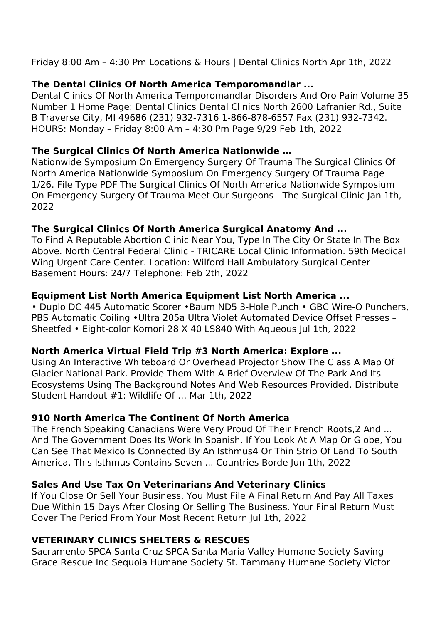Friday 8:00 Am – 4:30 Pm Locations & Hours | Dental Clinics North Apr 1th, 2022

## **The Dental Clinics Of North America Temporomandlar ...**

Dental Clinics Of North America Temporomandlar Disorders And Oro Pain Volume 35 Number 1 Home Page: Dental Clinics Dental Clinics North 2600 Lafranier Rd., Suite B Traverse City, MI 49686 (231) 932-7316 1-866-878-6557 Fax (231) 932-7342. HOURS: Monday – Friday 8:00 Am – 4:30 Pm Page 9/29 Feb 1th, 2022

## **The Surgical Clinics Of North America Nationwide …**

Nationwide Symposium On Emergency Surgery Of Trauma The Surgical Clinics Of North America Nationwide Symposium On Emergency Surgery Of Trauma Page 1/26. File Type PDF The Surgical Clinics Of North America Nationwide Symposium On Emergency Surgery Of Trauma Meet Our Surgeons - The Surgical Clinic Jan 1th, 2022

## **The Surgical Clinics Of North America Surgical Anatomy And ...**

To Find A Reputable Abortion Clinic Near You, Type In The City Or State In The Box Above. North Central Federal Clinic - TRICARE Local Clinic Information. 59th Medical Wing Urgent Care Center. Location: Wilford Hall Ambulatory Surgical Center Basement Hours: 24/7 Telephone: Feb 2th, 2022

## **Equipment List North America Equipment List North America ...**

• Duplo DC 445 Automatic Scorer •Baum ND5 3-Hole Punch • GBC Wire-O Punchers, PBS Automatic Coiling •Ultra 205a Ultra Violet Automated Device Offset Presses – Sheetfed • Eight-color Komori 28 X 40 LS840 With Aqueous Jul 1th, 2022

## **North America Virtual Field Trip #3 North America: Explore ...**

Using An Interactive Whiteboard Or Overhead Projector Show The Class A Map Of Glacier National Park. Provide Them With A Brief Overview Of The Park And Its Ecosystems Using The Background Notes And Web Resources Provided. Distribute Student Handout #1: Wildlife Of … Mar 1th, 2022

## **910 North America The Continent Of North America**

The French Speaking Canadians Were Very Proud Of Their French Roots,2 And ... And The Government Does Its Work In Spanish. If You Look At A Map Or Globe, You Can See That Mexico Is Connected By An Isthmus4 Or Thin Strip Of Land To South America. This Isthmus Contains Seven ... Countries Borde Jun 1th, 2022

# **Sales And Use Tax On Veterinarians And Veterinary Clinics**

If You Close Or Sell Your Business, You Must File A Final Return And Pay All Taxes Due Within 15 Days After Closing Or Selling The Business. Your Final Return Must Cover The Period From Your Most Recent Return Jul 1th, 2022

# **VETERINARY CLINICS SHELTERS & RESCUES**

Sacramento SPCA Santa Cruz SPCA Santa Maria Valley Humane Society Saving Grace Rescue Inc Sequoia Humane Society St. Tammany Humane Society Victor